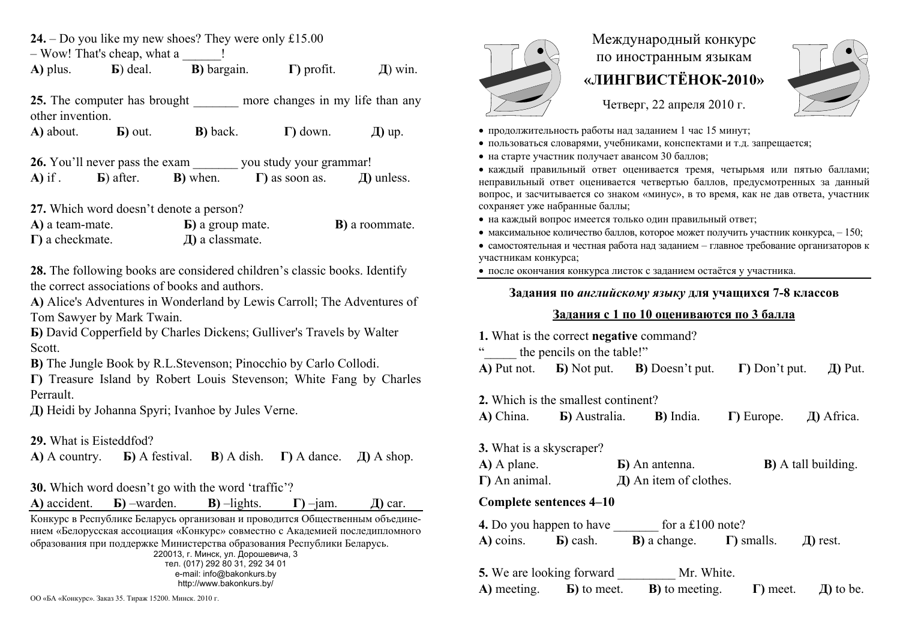**24.** – Do you like my new shoes? They were only £15.00  $-$  Wow! That's cheap, what a **А)** plus. **Б**) deal. **В)** bargain. **Г)** profit. **Д**) win. **25.** The computer has brought more changes in my life than any other invention. **А)** about. **Б)** out. **В)** back. **Г)** down. **Д)** up. **26.** You'll never pass the exam you study your grammar! **А)** if . **Б**) after. **В)** when. **Г)** as soon as. **Д)** unless. **27.** Which word doesn't denote a person? **A)** a team-mate. **Б)** a group mate. **В)** a roommate. **Г)** a checkmate. **Д)** a classmate. **28.** The following books are considered children's classic books. Identify the correct associations of books and authors. **A)** Alice's Adventures in Wonderland by Lewis Carroll; The Adventures of Tom Sawyer by Mark Twain. **Б)** David Copperfield by Charles Dickens; Gulliver's Travels by Walter Scott. **В)** The Jungle Book by R.L.Stevenson; Pinocchio by Carlo Collodi. **Г)** Treasure Island by Robert Louis Stevenson; White Fang by Charles Perrault. **Д)** Heidi by Johanna Spyri; Ivanhoe by Jules Verne. **29.** What is Eisteddfod? **А)** А country. **Б)** А festival. **B**) A dish.  $\Gamma$ ) A dance.  $\Box$  A shop. **30.** Which word doesn't go with the word 'traffic'? **A)** accident. **Б)** –warden. **В)** –lights. **Г)** –jam. **Д)** car. Конкурс <sup>в</sup> Республике Беларусь организован и проводится Общественным объединением «Белорусская ассоциация «Конкурс» совместно <sup>с</sup> Академией последипломного образования при поддержке Министерства образования Республики Беларусь.

220013, <sup>г</sup>. Минск, ул. Дорошевича, 3 тел. (017) 292 80 31, 292 34 01 e-mail: info@bakonkurs.by http://www.bakonkurs.by/



# Международный конкурс по иностранным языкам **«ЛИНГВИСТЁНОК-2010»**

Четверг, 22 апреля 2010 г.



- продолжительность работы над заданием 1 час 15 минут;
- пользоваться словарями, учебниками, конспектами и <sup>т</sup>.д. запрещается;
- на старте участник получает авансом 30 баллов;

 каждый правильный ответ оценивается тремя, четырьмя или пятью баллами; неправильный ответ оценивается четвертью баллов, предусмотренных за данный вопрос, <sup>и</sup> засчитывается со знаком «минус», <sup>в</sup> то время, как не дав ответа, участник сохраняет уже набранные баллы;

- на каждый вопрос имеется только один правильный ответ;
- максимальное количество баллов, которое может получить участник конкурса,  $-150$ ;
- самостоятельная и честная работа над заданием главное требование организаторов к участникам конкурса;
- после окончания конкурса листок <sup>с</sup> заданием остаётся у участника.

### **Задания по** *английскому языку* **для учащихся 7-8 классов**

## **Задания <sup>с</sup> 1 по 10 оцениваются по 3 балла**

|                                                                           | 1. What is the correct negative command? |                                                                                     |                             |                                   |  |  |
|---------------------------------------------------------------------------|------------------------------------------|-------------------------------------------------------------------------------------|-----------------------------|-----------------------------------|--|--|
| cc                                                                        | the pencils on the table!"               |                                                                                     |                             |                                   |  |  |
|                                                                           |                                          | $\bf{A}$ ) Put not. $\bf{B}$ ) Not put. $\bf{B}$ ) Doesn't put.                     | $\Gamma$ ) Don't put.       | $\pi$ Put.                        |  |  |
|                                                                           | 2. Which is the smallest continent?      |                                                                                     |                             |                                   |  |  |
|                                                                           |                                          | A) China. <b>b</b> ) Australia. <b>b</b> ) India.                                   |                             | $\Gamma$ ) Europe. $\Box$ Africa. |  |  |
| <b>3.</b> What is a skyscraper?<br>$A)$ A plane.<br>$\Gamma$ ) An animal. |                                          | <b>b</b> ) An antenna.<br>$\pi$ ) An item of clothes.                               | <b>B</b> ) A tall building. |                                   |  |  |
|                                                                           | Complete sentences 4–10                  |                                                                                     |                             |                                   |  |  |
| <b>4.</b> Do you happen to have for a £100 note?                          |                                          |                                                                                     |                             |                                   |  |  |
|                                                                           |                                          | A) coins. <b>b</b> ) cash. <b>b</b> ) a change. <b>I</b> ) smalls. <b>J</b> ) rest. |                             |                                   |  |  |
|                                                                           |                                          | <b>5.</b> We are looking forward Mr. White.                                         |                             |                                   |  |  |
|                                                                           |                                          | $\bf{A}$ ) meeting. $\bf{B}$ ) to meet. $\bf{B}$ ) to meeting.                      | $\Gamma$ ) meet.            | $\pi$ to be.                      |  |  |